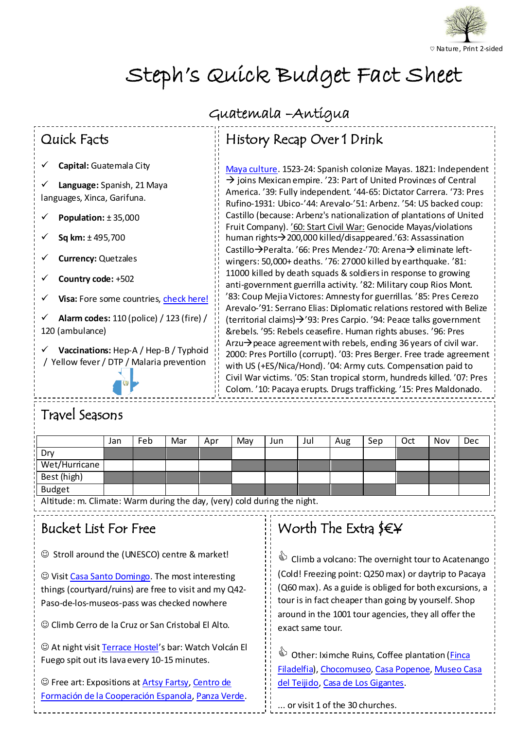

# Steph's Quick Budget Fact Sheet

## Quick Facts

**Capital:** Guatemala City

**Language:** Spanish, 21 Maya languages, Xinca, Garifuna.

**Population:** ± 35,000

**Sq km:** ± 495,700

**Currency:** Quetzales

**Country code:** +502

**Visa:** Fore some countries, [check here!](http://guatemala.visahq.nl/)

**Alarm codes:** 110 (police) / 123 (fire) / 120 (ambulance)

**Vaccinations:** Hep-A / Hep-B / Typhoid / Yellow fever / DTP / Malaria prevention

### Guatemala –Antigua

# History Recap Over 1 Drink

 $\frac{1}{2}$  joins Mexican empire. '23: Part of United Provinces of Central Rufino-1931: Ubico-'44: Arevalo-'51: Arbenz. '54: US backed coup: human rights > 200,000 killed/disappeared.'63: Assassination wingers. 50,000+ deaths. To. 27000 killed by earthquake. To.<br>11000 killed by death squads & soldiers in response to growing '83: Coup Mejia Victores: Amnesty for guerrillas. '85: Pres Cerezo &rebels. '95: Rebels ceasefire. Human rights abuses. '96: Pres with US (+ES/Nica/Hond). '04: Army cuts. Compensation paid to Colom. '10: Pacaya erupts. Drugs trafficking. '15: Pres Maldonado. [Maya culture.](http://www.timelines.ws/countries/GUATEMALA.HTML) 1523-24: Spanish colonize Mayas. 1821: Independent America. '39: Fully independent. '44-65: Dictator Carrera. '73: Pres Castillo (because: Arbenz's nationalization of plantations of United Fruit Company). '60: Start Civil War: Genocide Mayas/violations Castillo  $\rightarrow$  Peralta. '66: Pres Mendez-'70: Arena $\rightarrow$  eliminate leftwingers: 50,000+ deaths. '76: 27000 killed by earthquake. '81: anti-government guerrilla activity. '82: Military coup Rios Mont. Arevalo-'91: Serrano Elias: Diplomatic relations restored with Belize (territorial claims) $\rightarrow$ '93: Pres Carpio. '94: Peace talks government Arzu $\rightarrow$  peace agreement with rebels, ending 36 years of civil war. 2000: Pres Portillo (corrupt). '03: Pres Berger. Free trade agreement Civil War victims. '05: Stan tropical storm, hundreds killed. '07: Pres

## Travel Seasons

|               | Jan | Feb | Mar | Apr | Mav | Jun | Jul | Aug | Sep | Oct | Nov | Dec |
|---------------|-----|-----|-----|-----|-----|-----|-----|-----|-----|-----|-----|-----|
| Dry           |     |     |     |     |     |     |     |     |     |     |     |     |
| Wet/Hurricane |     |     |     |     |     |     |     |     |     |     |     |     |
| Best (high)   |     |     |     |     |     |     |     |     |     |     |     |     |
| <b>Budget</b> |     |     |     |     |     |     |     |     |     |     |     |     |

Altitude: m. Climate: Warm during the day, (very) cold during the night.

### Bucket List For Free

Stroll around the (UNESCO) centre & market!

 Visit [Casa Santo Domingo.](http://www.casasantodomingo.com.gt/default-en.html) The most interesting things (courtyard/ruins) are free to visit and my Q42- Paso-de-los-museos-pass was checked nowhere

Climb Cerro de la Cruz or San Cristobal El Alto.

 Fuego spit out its lava every 10-15minutes. At night visi[t Terrace Hostel](http://www.terracehostel.com/)'s bar: Watch Volcán El

**[Formación de la Cooperación Espanola,](http://www.aecid-cf.org.gt/) [Panza Verde.](http://www.panzaverde.com/)**<br>Formación de la Cooperación Espanola, Panza Verde. Free art: Expositions a[t Artsy Fartsy,](http://artsyfartsyinantigua.com/) [Centro de](http://www.aecid-cf.org.gt/) 

#### $\frac{1}{\sqrt{2}}$ Worth The Extra  $\frac{6}{5}$

 (Cold! Freezing point: Q250 max) or daytrip to Pacaya around in the 1001 tour agencies, they all offer the  $\ddot{\phantom{0}}$ **ED** Climb a volcano: The overnight tour to Acatenango (Q60 max). As a guide is obliged for both excursions, a tour is in fact cheaper than going by yourself. Shop exact same tour.

**Souther:** Iximche Ruins, Coffee plantation (*Finca*) [Filadelfia\)](http://www.filadelfiaresort.com/default-en.html)[, Chocomuseo,](http://www.chocomuseo.com/english/our-locations/antigua-gua/) [Casa Popenoe](http://casapopenoe.ufm.edu/)[, Museo Casa](http://casadeltejido.org/)  [del Teijido](http://casadeltejido.org/)[, Casa de Los Gigantes.](http://casadelosgigantes.com/)

... or visit 1 of the 30 churches.